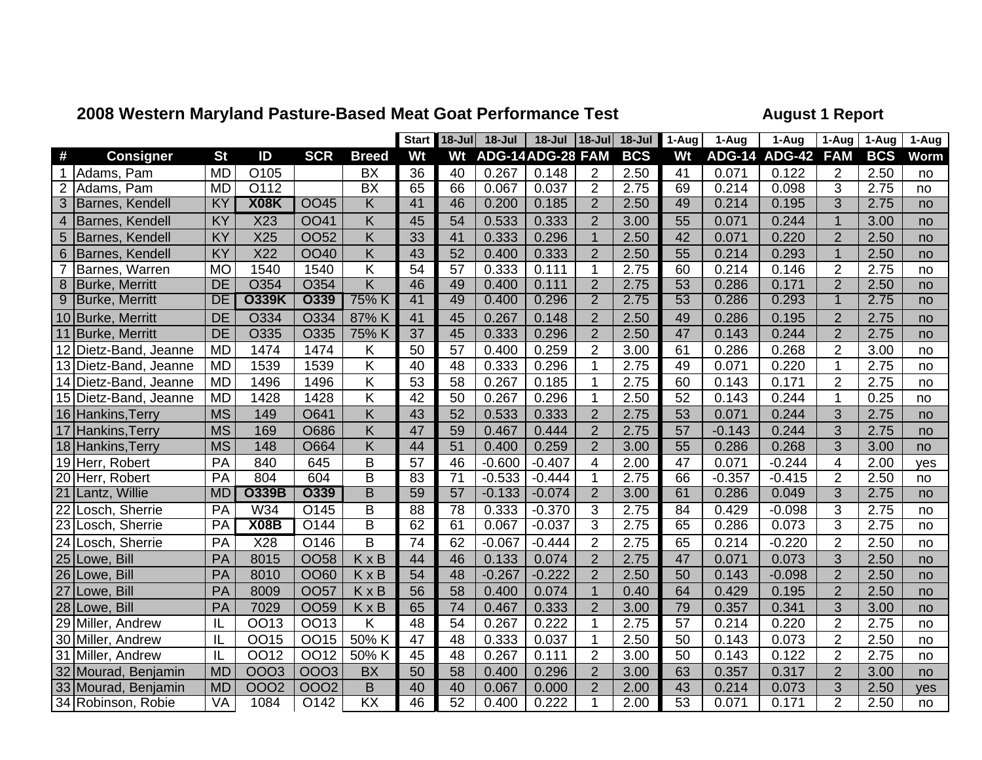## **2008 Western Maryland Pasture-Based Meat Goat Performance Test August 1 Report**

|                 |                       |           |              |                   |                               | <b>Start</b>    | $18 -$ Jul      | 18-Jul           | 18-Jul   | $ 18 -$ Jul    | $18 -$ Jul | $\overline{1}$ -Aug | 1-Aug    | 1-Aug                | 1-Aug          | 1-Aug      | 1-Aug |
|-----------------|-----------------------|-----------|--------------|-------------------|-------------------------------|-----------------|-----------------|------------------|----------|----------------|------------|---------------------|----------|----------------------|----------------|------------|-------|
| #               | <b>Consigner</b>      | <b>St</b> | ID           | <b>SCR</b>        | <b>Breed</b>                  | Wt              | Wt              | ADG-14ADG-28 FAM |          |                | <b>BCS</b> | Wt                  |          | <b>ADG-14 ADG-42</b> | <b>FAM</b>     | <b>BCS</b> | Worm  |
| 1               | Adams, Pam            | <b>MD</b> | O105         |                   | BX                            | 36              | 40              | 0.267            | 0.148    | $\overline{2}$ | 2.50       | 41                  | 0.071    | 0.122                | 2              | 2.50       | no    |
| $\overline{2}$  | Adams, Pam            | <b>MD</b> | O112         |                   | $\overline{BX}$               | 65              | 66              | 0.067            | 0.037    | $\overline{2}$ | 2.75       | 69                  | 0.214    | 0.098                | 3              | 2.75       | no    |
|                 | Barnes, Kendell       | KY        | X08K         | <b>OO45</b>       | Κ                             | 41              | 46              | 0.200            | 0.185    | $\overline{2}$ | 2.50       | 49                  | 0.214    | 0.195                | $\overline{3}$ | 2.75       | no    |
| $\overline{4}$  | Barnes, Kendell       | KY        | X23          | <b>OO41</b>       | $\overline{\mathsf{K}}$       | 45              | 54              | 0.533            | 0.333    | $\overline{2}$ | 3.00       | 55                  | 0.071    | 0.244                | $\overline{1}$ | 3.00       | no    |
| 5               | Barnes, Kendell       | KY        | X25          | <b>OO52</b>       | $\overline{\mathsf{K}}$       | 33              | 41              | 0.333            | 0.296    | $\mathbf{1}$   | 2.50       | 42                  | 0.071    | 0.220                | $\overline{2}$ | 2.50       | no    |
| 6               | Barnes, Kendell       | KY        | X22          | <b>OO40</b>       | $\overline{\mathsf{K}}$       | 43              | 52              | 0.400            | 0.333    | $\overline{2}$ | 2.50       | 55                  | 0.214    | 0.293                | $\overline{1}$ | 2.50       | no    |
| $\overline{7}$  | Barnes, Warren        | <b>MO</b> | 1540         | 1540              | $\overline{\mathsf{K}}$       | 54              | $\overline{57}$ | 0.333            | 0.111    | $\mathbf{1}$   | 2.75       | 60                  | 0.214    | 0.146                | $\overline{2}$ | 2.75       | no    |
| 8               | <b>Burke, Merritt</b> | <b>DE</b> | O354         | O354              | $\overline{\mathsf{K}}$       | 46              | 49              | 0.400            | 0.111    | $\overline{2}$ | 2.75       | $\overline{53}$     | 0.286    | 0.171                | $\overline{2}$ | 2.50       | no    |
| $\overline{9}$  | <b>Burke, Merritt</b> | DE        | <b>O339K</b> | <b>O339</b>       | 75% K                         | 41              | 49              | 0.400            | 0.296    | $\overline{2}$ | 2.75       | 53                  | 0.286    | 0.293                | $\overline{1}$ | 2.75       | no    |
|                 | 10 Burke, Merritt     | <b>DE</b> | O334         | O334              | 87% K                         | 41              | 45              | 0.267            | 0.148    | $\overline{2}$ | 2.50       | 49                  | 0.286    | 0.195                | $\overline{2}$ | 2.75       | no    |
| 11              | <b>Burke, Merritt</b> | <b>DE</b> | O335         | O335              | 75% K                         | $\overline{37}$ | 45              | 0.333            | 0.296    | $\overline{2}$ | 2.50       | 47                  | 0.143    | 0.244                | $\overline{2}$ | 2.75       | no    |
| 12              | Dietz-Band, Jeanne    | <b>MD</b> | 1474         | 1474              | Κ                             | 50              | 57              | 0.400            | 0.259    | $\overline{2}$ | 3.00       | 61                  | 0.286    | 0.268                | $\overline{2}$ | 3.00       | no    |
| 13              | Dietz-Band, Jeanne    | <b>MD</b> | 1539         | 1539              | K                             | 40              | 48              | 0.333            | 0.296    | 1              | 2.75       | 49                  | 0.071    | 0.220                | 1              | 2.75       | no    |
| 14              | Dietz-Band, Jeanne    | <b>MD</b> | 1496         | 1496              | $\overline{\mathsf{K}}$       | 53              | 58              | 0.267            | 0.185    | 1              | 2.75       | 60                  | 0.143    | 0.171                | $\overline{2}$ | 2.75       | no    |
|                 | 15 Dietz-Band, Jeanne | <b>MD</b> | 1428         | 1428              | $\overline{\mathsf{K}}$       | 42              | 50              | 0.267            | 0.296    | 1              | 2.50       | $\overline{52}$     | 0.143    | 0.244                |                | 0.25       | no    |
|                 | 16 Hankins, Terry     | <b>MS</b> | 149          | O641              | $\overline{\mathsf{K}}$       | 43              | 52              | 0.533            | 0.333    | $\overline{2}$ | 2.75       | 53                  | 0.071    | 0.244                | 3              | 2.75       | no    |
| 17              | Hankins, Terry        | <b>MS</b> | 169          | O686              | $\overline{\mathsf{K}}$       | 47              | 59              | 0.467            | 0.444    | $\overline{2}$ | 2.75       | 57                  | $-0.143$ | 0.244                | 3              | 2.75       | no    |
|                 | 18 Hankins, Terry     | <b>MS</b> | 148          | O664              | Κ                             | 44              | 51              | 0.400            | 0.259    | $\overline{2}$ | 3.00       | 55                  | 0.286    | 0.268                | 3              | 3.00       | no    |
|                 | 19 Herr, Robert       | PA        | 840          | 645               | B                             | 57              | 46              | $-0.600$         | $-0.407$ | $\overline{4}$ | 2.00       | 47                  | 0.071    | $-0.244$             | $\overline{4}$ | 2.00       | yes   |
|                 | 20 Herr, Robert       | PA        | 804          | 604               | $\overline{B}$                | 83              | $\overline{71}$ | $-0.533$         | $-0.444$ | 1              | 2.75       | 66                  | $-0.357$ | $-0.415$             | $\overline{2}$ | 2.50       | no    |
| 21              | Lantz, Willie         | <b>MD</b> | <b>O339B</b> | <b>O339</b>       | B                             | 59              | 57              | $-0.133$         | $-0.074$ | $\overline{2}$ | 3.00       | 61                  | 0.286    | 0.049                | $\overline{3}$ | 2.75       | no    |
| $\overline{22}$ | Losch, Sherrie        | PA        | W34          | $\overline{O145}$ | $\overline{B}$                | 88              | $\overline{78}$ | 0.333            | $-0.370$ | 3              | 2.75       | 84                  | 0.429    | $-0.098$             | 3              | 2.75       | no    |
|                 | 23 Losch, Sherrie     | PA        | <b>X08B</b>  | O144              | B                             | 62              | 61              | 0.067            | $-0.037$ | 3              | 2.75       | 65                  | 0.286    | 0.073                | 3              | 2.75       | no    |
|                 | 24 Losch, Sherrie     | PA        | X28          | O146              | B                             | 74              | 62              | $-0.067$         | $-0.444$ | $\overline{2}$ | 2.75       | 65                  | 0.214    | $-0.220$             | $\overline{2}$ | 2.50       | no    |
| 25              | Lowe, Bill            | PA        | 8015         | <b>OO58</b>       | KxB                           | 44              | 46              | 0.133            | 0.074    | $\overline{2}$ | 2.75       | 47                  | 0.071    | 0.073                | 3              | 2.50       | no    |
| 26              | Lowe, Bill            | PA        | 8010         | OO60              | KxB                           | 54              | 48              | $-0.267$         | $-0.222$ | $\overline{2}$ | 2.50       | 50                  | 0.143    | $-0.098$             | $\overline{2}$ | 2.50       | no    |
| 27              | Lowe, Bill            | PA        | 8009         | <b>OO57</b>       | KxB                           | 56              | 58              | 0.400            | 0.074    | $\mathbf{1}$   | 0.40       | 64                  | 0.429    | 0.195                | $\overline{2}$ | 2.50       | no    |
| 28              | Lowe, Bill            | PA        | 7029         | <b>OO59</b>       | KxB                           | 65              | $\overline{74}$ | 0.467            | 0.333    | $\overline{2}$ | 3.00       | 79                  | 0.357    | 0.341                | 3              | 3.00       | no    |
| 29              | Miller, Andrew        | IL        | <b>OO13</b>  | OO13              | K                             | 48              | 54              | 0.267            | 0.222    | 1              | 2.75       | 57                  | 0.214    | 0.220                | $\overline{2}$ | 2.75       | no    |
| 30              | Miller, Andrew        | IL        | OO15         | OO15              | 50% K                         | 47              | 48              | 0.333            | 0.037    | $\mathbf{1}$   | 2.50       | $\overline{50}$     | 0.143    | 0.073                | $\overline{2}$ | 2.50       | no    |
| 31              | Miller, Andrew        | IL        | OO12         | <b>OO12</b>       | 50% K                         | 45              | 48              | 0.267            | 0.111    | $\overline{2}$ | 3.00       | 50                  | 0.143    | 0.122                | $\overline{2}$ | 2.75       | no    |
| 32              | Mourad, Benjamin      | <b>MD</b> | 0003         | 0003              | <b>BX</b>                     | 50              | 58              | 0.400            | 0.296    | $\overline{2}$ | 3.00       | 63                  | 0.357    | 0.317                | $\overline{2}$ | 3.00       | no    |
|                 | 33 Mourad, Benjamin   | <b>MD</b> | <b>OOO2</b>  | <b>OOO2</b>       | B                             | 40              | 40              | 0.067            | 0.000    | $\overline{2}$ | 2.00       | 43                  | 0.214    | 0.073                | 3              | 2.50       | yes   |
|                 | 34 Robinson, Robie    | VA        | 1084         | O142              | $\overline{\text{K}}\text{X}$ | 46              | 52              | 0.400            | 0.222    | 1              | 2.00       | 53                  | 0.071    | 0.171                | $\overline{2}$ | 2.50       | no    |